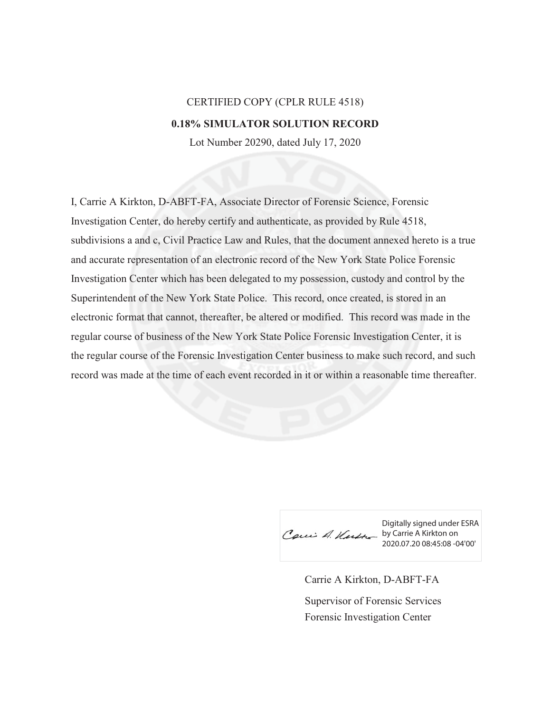## CERTIFIED COPY (CPLR RULE 4518) **0.18% SIMULATOR SOLUTION RECORD**

Lot Number 20290, dated July 17, 2020

I, Carrie A Kirkton, D-ABFT-FA, Associate Director of Forensic Science, Forensic Investigation Center, do hereby certify and authenticate, as provided by Rule 4518, subdivisions a and c, Civil Practice Law and Rules, that the document annexed hereto is a true and accurate representation of an electronic record of the New York State Police Forensic Investigation Center which has been delegated to my possession, custody and control by the Superintendent of the New York State Police. This record, once created, is stored in an electronic format that cannot, thereafter, be altered or modified. This record was made in the regular course of business of the New York State Police Forensic Investigation Center, it is the regular course of the Forensic Investigation Center business to make such record, and such record was made at the time of each event recorded in it or within a reasonable time thereafter.

Digitally signed under ESRA by Carrie A Kirkton on 2020.07.20 08:45:08 -04'00'

Carrie A Kirkton, D-ABFT-FA Forensic Investigation Center Supervisor of Forensic Services